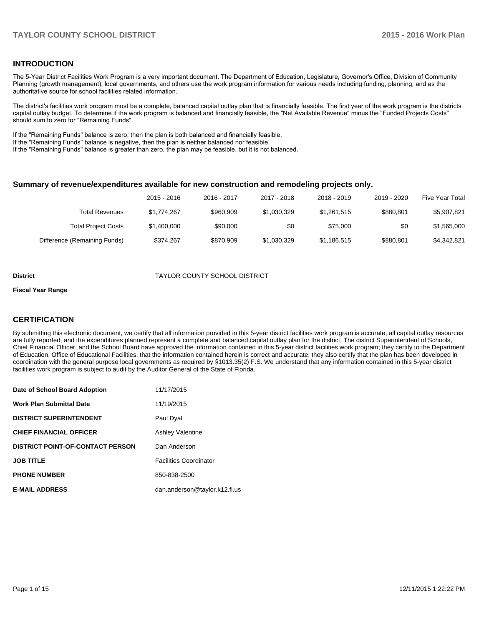### **INTRODUCTION**

The 5-Year District Facilities Work Program is a very important document. The Department of Education, Legislature, Governor's Office, Division of Community Planning (growth management), local governments, and others use the work program information for various needs including funding, planning, and as the authoritative source for school facilities related information.

The district's facilities work program must be a complete, balanced capital outlay plan that is financially feasible. The first year of the work program is the districts capital outlay budget. To determine if the work program is balanced and financially feasible, the "Net Available Revenue" minus the "Funded Projects Costs" should sum to zero for "Remaining Funds".

If the "Remaining Funds" balance is zero, then the plan is both balanced and financially feasible.

If the "Remaining Funds" balance is negative, then the plan is neither balanced nor feasible.

If the "Remaining Funds" balance is greater than zero, the plan may be feasible, but it is not balanced.

#### **Summary of revenue/expenditures available for new construction and remodeling projects only.**

| <b>Five Year Total</b> | 2019 - 2020 | 2018 - 2019 | 2017 - 2018 | 2016 - 2017 | 2015 - 2016 |                              |
|------------------------|-------------|-------------|-------------|-------------|-------------|------------------------------|
| \$5,907,821            | \$880.801   | \$1.261.515 | \$1.030.329 | \$960.909   | \$1.774.267 | <b>Total Revenues</b>        |
| \$1,565,000            | \$0         | \$75,000    | \$0         | \$90,000    | \$1,400,000 | <b>Total Project Costs</b>   |
| \$4.342.821            | \$880.801   | \$1,186,515 | \$1,030,329 | \$870.909   | \$374.267   | Difference (Remaining Funds) |

#### **District** TAYLOR COUNTY SCHOOL DISTRICT

#### **Fiscal Year Range**

## **CERTIFICATION**

By submitting this electronic document, we certify that all information provided in this 5-year district facilities work program is accurate, all capital outlay resources are fully reported, and the expenditures planned represent a complete and balanced capital outlay plan for the district. The district Superintendent of Schools, Chief Financial Officer, and the School Board have approved the information contained in this 5-year district facilities work program; they certify to the Department of Education, Office of Educational Facilities, that the information contained herein is correct and accurate; they also certify that the plan has been developed in coordination with the general purpose local governments as required by §1013.35(2) F.S. We understand that any information contained in this 5-year district facilities work program is subject to audit by the Auditor General of the State of Florida.

| Date of School Board Adoption           | 11/17/2015                    |
|-----------------------------------------|-------------------------------|
| <b>Work Plan Submittal Date</b>         | 11/19/2015                    |
| <b>DISTRICT SUPERINTENDENT</b>          | Paul Dyal                     |
| <b>CHIEF FINANCIAL OFFICER</b>          | <b>Ashley Valentine</b>       |
| <b>DISTRICT POINT-OF-CONTACT PERSON</b> | Dan Anderson                  |
| <b>JOB TITLE</b>                        | <b>Facilities Coordinator</b> |
| <b>PHONE NUMBER</b>                     | 850-838-2500                  |
| <b>E-MAIL ADDRESS</b>                   | dan.anderson@taylor.k12.fl.us |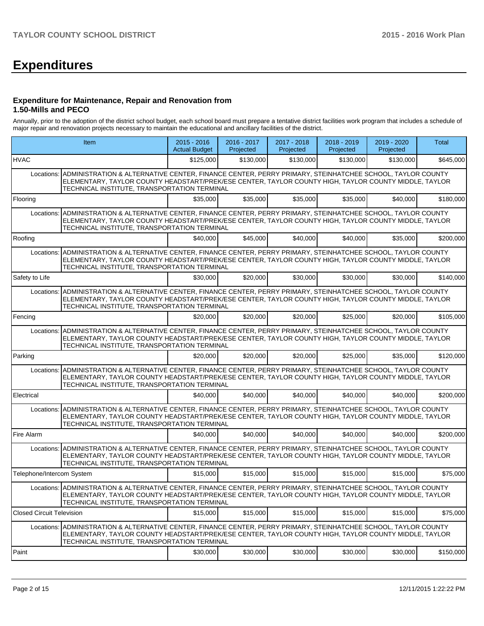# **Expenditures**

#### **Expenditure for Maintenance, Repair and Renovation from 1.50-Mills and PECO**

Annually, prior to the adoption of the district school budget, each school board must prepare a tentative district facilities work program that includes a schedule of major repair and renovation projects necessary to maintain the educational and ancillary facilities of the district.

|                                  | Item                                                                                                                                                                                                                                                                       | $2015 - 2016$<br><b>Actual Budget</b> | 2016 - 2017<br>Projected | 2017 - 2018<br>Projected | 2018 - 2019<br>Projected | 2019 - 2020<br>Projected | <b>Total</b> |
|----------------------------------|----------------------------------------------------------------------------------------------------------------------------------------------------------------------------------------------------------------------------------------------------------------------------|---------------------------------------|--------------------------|--------------------------|--------------------------|--------------------------|--------------|
| <b>HVAC</b>                      |                                                                                                                                                                                                                                                                            | \$125,000                             | \$130,000                | \$130,000                | \$130,000                | \$130,000                | \$645,000    |
|                                  | Locations: ADMINISTRATION & ALTERNATIVE CENTER, FINANCE CENTER, PERRY PRIMARY, STEINHATCHEE SCHOOL, TAYLOR COUNTY<br>ELEMENTARY, TAYLOR COUNTY HEADSTART/PREK/ESE CENTER, TAYLOR COUNTY HIGH, TAYLOR COUNTY MIDDLE, TAYLOR<br>TECHNICAL INSTITUTE, TRANSPORTATION TERMINAL |                                       |                          |                          |                          |                          |              |
| Flooring                         |                                                                                                                                                                                                                                                                            | \$35,000                              | \$35,000                 | \$35,000                 | \$35,000                 | \$40,000                 | \$180,000    |
| Locations:                       | ADMINISTRATION & ALTERNATIVE CENTER, FINANCE CENTER, PERRY PRIMARY, STEINHATCHEE SCHOOL, TAYLOR COUNTY<br>ELEMENTARY, TAYLOR COUNTY HEADSTART/PREK/ESE CENTER, TAYLOR COUNTY HIGH, TAYLOR COUNTY MIDDLE, TAYLOR<br>TECHNICAL INSTITUTE, TRANSPORTATION TERMINAL            |                                       |                          |                          |                          |                          |              |
| Roofing                          |                                                                                                                                                                                                                                                                            | \$40,000                              | \$45,000                 | \$40,000                 | \$40,000                 | \$35,000                 | \$200,000    |
| Locations:                       | ADMINISTRATION & ALTERNATIVE CENTER, FINANCE CENTER, PERRY PRIMARY, STEINHATCHEE SCHOOL, TAYLOR COUNTY<br>ELEMENTARY, TAYLOR COUNTY HEADSTART/PREK/ESE CENTER, TAYLOR COUNTY HIGH, TAYLOR COUNTY MIDDLE, TAYLOR<br>TECHNICAL INSTITUTE, TRANSPORTATION TERMINAL            |                                       |                          |                          |                          |                          |              |
| Safety to Life                   |                                                                                                                                                                                                                                                                            | \$30,000                              | \$20,000                 | \$30,000                 | \$30,000                 | \$30,000                 | \$140,000    |
| Locations:                       | ADMINISTRATION & ALTERNATIVE CENTER, FINANCE CENTER, PERRY PRIMARY, STEINHATCHEE SCHOOL, TAYLOR COUNTY<br>ELEMENTARY, TAYLOR COUNTY HEADSTART/PREK/ESE CENTER, TAYLOR COUNTY HIGH, TAYLOR COUNTY MIDDLE, TAYLOR<br>TECHNICAL INSTITUTE, TRANSPORTATION TERMINAL            |                                       |                          |                          |                          |                          |              |
| Fencing                          |                                                                                                                                                                                                                                                                            | \$20,000                              | \$20,000                 | \$20,000                 | \$25,000                 | \$20,000                 | \$105,000    |
|                                  | Locations: ADMINISTRATION & ALTERNATIVE CENTER, FINANCE CENTER, PERRY PRIMARY, STEINHATCHEE SCHOOL, TAYLOR COUNTY<br>ELEMENTARY, TAYLOR COUNTY HEADSTART/PREK/ESE CENTER, TAYLOR COUNTY HIGH, TAYLOR COUNTY MIDDLE, TAYLOR<br>TECHNICAL INSTITUTE, TRANSPORTATION TERMINAL |                                       |                          |                          |                          |                          |              |
| Parking                          |                                                                                                                                                                                                                                                                            | \$20,000                              | \$20,000                 | \$20,000                 | \$25,000                 | \$35,000                 | \$120,000    |
|                                  | Locations: ADMINISTRATION & ALTERNATIVE CENTER, FINANCE CENTER, PERRY PRIMARY, STEINHATCHEE SCHOOL, TAYLOR COUNTY<br>ELEMENTARY, TAYLOR COUNTY HEADSTART/PREK/ESE CENTER, TAYLOR COUNTY HIGH, TAYLOR COUNTY MIDDLE, TAYLOR<br>TECHNICAL INSTITUTE, TRANSPORTATION TERMINAL |                                       |                          |                          |                          |                          |              |
| Electrical                       |                                                                                                                                                                                                                                                                            | \$40,000                              | \$40,000                 | \$40,000                 | \$40,000                 | \$40,000                 | \$200,000    |
| Locations:                       | ADMINISTRATION & ALTERNATIVE CENTER, FINANCE CENTER, PERRY PRIMARY, STEINHATCHEE SCHOOL, TAYLOR COUNTY<br>ELEMENTARY, TAYLOR COUNTY HEADSTART/PREK/ESE CENTER, TAYLOR COUNTY HIGH, TAYLOR COUNTY MIDDLE, TAYLOR<br>TECHNICAL INSTITUTE, TRANSPORTATION TERMINAL            |                                       |                          |                          |                          |                          |              |
| Fire Alarm                       |                                                                                                                                                                                                                                                                            | \$40,000                              | \$40,000                 | \$40,000                 | \$40,000                 | \$40,000                 | \$200,000    |
|                                  | Locations: ADMINISTRATION & ALTERNATIVE CENTER, FINANCE CENTER, PERRY PRIMARY, STEINHATCHEE SCHOOL, TAYLOR COUNTY<br>ELEMENTARY, TAYLOR COUNTY HEADSTART/PREK/ESE CENTER, TAYLOR COUNTY HIGH, TAYLOR COUNTY MIDDLE, TAYLOR<br>TECHNICAL INSTITUTE, TRANSPORTATION TERMINAL |                                       |                          |                          |                          |                          |              |
| Telephone/Intercom System        |                                                                                                                                                                                                                                                                            | \$15,000                              | \$15,000                 | \$15,000                 | \$15,000                 | \$15,000                 | \$75,000     |
|                                  | Locations: ADMINISTRATION & ALTERNATIVE CENTER, FINANCE CENTER, PERRY PRIMARY, STEINHATCHEE SCHOOL, TAYLOR COUNTY<br>ELEMENTARY, TAYLOR COUNTY HEADSTART/PREK/ESE CENTER, TAYLOR COUNTY HIGH, TAYLOR COUNTY MIDDLE, TAYLOR<br>TECHNICAL INSTITUTE, TRANSPORTATION TERMINAL |                                       |                          |                          |                          |                          |              |
| <b>Closed Circuit Television</b> |                                                                                                                                                                                                                                                                            | \$15,000                              | \$15,000                 | \$15,000                 | \$15,000                 | \$15,000                 | \$75,000     |
| Locations:                       | ADMINISTRATION & ALTERNATIVE CENTER, FINANCE CENTER, PERRY PRIMARY, STEINHATCHEE SCHOOL, TAYLOR COUNTY<br>ELEMENTARY, TAYLOR COUNTY HEADSTART/PREK/ESE CENTER, TAYLOR COUNTY HIGH, TAYLOR COUNTY MIDDLE, TAYLOR<br>TECHNICAL INSTITUTE, TRANSPORTATION TERMINAL            |                                       |                          |                          |                          |                          |              |
| Paint                            |                                                                                                                                                                                                                                                                            | \$30,000                              | \$30,000                 | \$30,000                 | \$30,000                 | \$30,000                 | \$150,000    |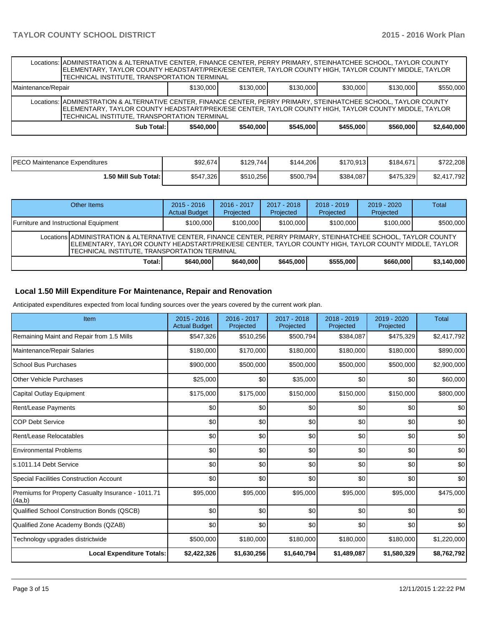|                                                                                              | Locations: ADMINISTRATION & ALTERNATIVE CENTER, FINANCE CENTER, PERRY PRIMARY, STEINHATCHEE SCHOOL, TAYLOR COUNTY<br>ELEMENTARY, TAYLOR COUNTY HEADSTART/PREK/ESE CENTER, TAYLOR COUNTY HIGH, TAYLOR COUNTY MIDDLE, TAYLOR<br>TECHNICAL INSTITUTE, TRANSPORTATION TERMINAL |  |  |  |  |           |  |  |  |  |  |
|----------------------------------------------------------------------------------------------|----------------------------------------------------------------------------------------------------------------------------------------------------------------------------------------------------------------------------------------------------------------------------|--|--|--|--|-----------|--|--|--|--|--|
| \$130,000<br>\$130,000<br>\$130,000<br>\$30,000<br>Maintenance/Repair<br>\$130,000           |                                                                                                                                                                                                                                                                            |  |  |  |  | \$550,000 |  |  |  |  |  |
|                                                                                              | Locations: ADMINISTRATION & ALTERNATIVE CENTER, FINANCE CENTER, PERRY PRIMARY, STEINHATCHEE SCHOOL, TAYLOR COUNTY<br>ELEMENTARY, TAYLOR COUNTY HEADSTART/PREK/ESE CENTER, TAYLOR COUNTY HIGH, TAYLOR COUNTY MIDDLE, TAYLOR<br>TECHNICAL INSTITUTE, TRANSPORTATION TERMINAL |  |  |  |  |           |  |  |  |  |  |
| Sub Total: I<br>\$540,000<br>\$545,000<br>\$455.000<br>\$2,640,000<br>\$560,000<br>\$540,000 |                                                                                                                                                                                                                                                                            |  |  |  |  |           |  |  |  |  |  |

| PECO Maintenance Expenditures | \$92,674  | \$129.744 | \$144.206 | \$170.913 | \$184.671 | \$722,208   |
|-------------------------------|-----------|-----------|-----------|-----------|-----------|-------------|
| 1.50 Mill Sub Total: I        | \$547,326 | \$510,256 | \$500,794 | \$384,087 | \$475,329 | \$2,417,792 |

| Other Items                                                                                                                                                                                                                                                                |          | $2015 - 2016$<br><b>Actual Budget</b> | $2016 - 2017$<br>Projected | $2017 - 2018$<br>Projected | $2018 - 2019$<br>Projected | $2019 - 2020$<br>Projected | Total       |  |  |
|----------------------------------------------------------------------------------------------------------------------------------------------------------------------------------------------------------------------------------------------------------------------------|----------|---------------------------------------|----------------------------|----------------------------|----------------------------|----------------------------|-------------|--|--|
| Furniture and Instructional Equipment                                                                                                                                                                                                                                      |          | \$100,000                             | \$100,000                  | \$100,000                  | \$100,000                  | \$100,000                  | \$500,000   |  |  |
| Locations ADMINISTRATION & ALTERNATIVE CENTER, FINANCE CENTER, PERRY PRIMARY, STEINHATCHEE SCHOOL, TAYLOR COUNTY<br>IELEMENTARY. TAYLOR COUNTY HEADSTART/PREK/ESE CENTER. TAYLOR COUNTY HIGH. TAYLOR COUNTY MIDDLE. TAYLOR<br>TECHNICAL INSTITUTE. TRANSPORTATION TERMINAL |          |                                       |                            |                            |                            |                            |             |  |  |
|                                                                                                                                                                                                                                                                            | Total: I | \$640,000                             | \$640,000                  | \$645,000                  | \$555,000                  | \$660,000                  | \$3,140,000 |  |  |

# **Local 1.50 Mill Expenditure For Maintenance, Repair and Renovation**

Anticipated expenditures expected from local funding sources over the years covered by the current work plan.

| Item                                                         | 2015 - 2016<br><b>Actual Budget</b> | 2016 - 2017<br>Projected | 2017 - 2018<br>Projected | 2018 - 2019<br>Projected | 2019 - 2020<br>Projected | <b>Total</b> |
|--------------------------------------------------------------|-------------------------------------|--------------------------|--------------------------|--------------------------|--------------------------|--------------|
| Remaining Maint and Repair from 1.5 Mills                    | \$547,326                           | \$510,256                | \$500,794                | \$384,087                | \$475,329                | \$2,417,792  |
| Maintenance/Repair Salaries                                  | \$180,000                           | \$170,000                | \$180,000                | \$180,000                | \$180,000                | \$890,000    |
| School Bus Purchases                                         | \$900,000                           | \$500,000                | \$500,000                | \$500,000                | \$500,000                | \$2,900,000  |
| Other Vehicle Purchases                                      | \$25,000                            | \$0                      | \$35,000                 | \$0                      | \$0                      | \$60,000     |
| Capital Outlay Equipment                                     | \$175,000                           | \$175,000                | \$150,000                | \$150,000                | \$150,000                | \$800,000    |
| Rent/Lease Payments                                          | \$0                                 | \$0                      | \$0                      | \$0                      | \$0                      | \$0          |
| <b>COP Debt Service</b>                                      | \$0                                 | \$0                      | \$0                      | \$0                      | \$0                      | \$0          |
| Rent/Lease Relocatables                                      | \$0                                 | \$0                      | \$0                      | \$0                      | \$0                      | \$0          |
| <b>Environmental Problems</b>                                | \$0                                 | \$0                      | \$0                      | \$0                      | \$0                      | \$0          |
| ls.1011.14 Debt Service                                      | \$0                                 | \$0                      | \$0                      | \$0                      | \$0                      | \$0          |
| <b>Special Facilities Construction Account</b>               | \$0                                 | \$0                      | \$0                      | \$0                      | \$0                      | \$0          |
| Premiums for Property Casualty Insurance - 1011.71<br>(4a,b) | \$95,000                            | \$95,000                 | \$95,000                 | \$95,000                 | \$95,000                 | \$475,000    |
| Qualified School Construction Bonds (QSCB)                   | \$0                                 | \$0                      | \$0                      | \$0                      | \$0                      | \$0          |
| Qualified Zone Academy Bonds (QZAB)                          | \$0                                 | \$0                      | \$0                      | \$0                      | \$0                      | \$0          |
| Technology upgrades districtwide                             | \$500,000                           | \$180,000                | \$180,000                | \$180,000                | \$180,000                | \$1,220,000  |
| <b>Local Expenditure Totals:</b>                             | \$2,422,326                         | \$1,630,256              | \$1,640,794              | \$1,489,087              | \$1,580,329              | \$8,762,792  |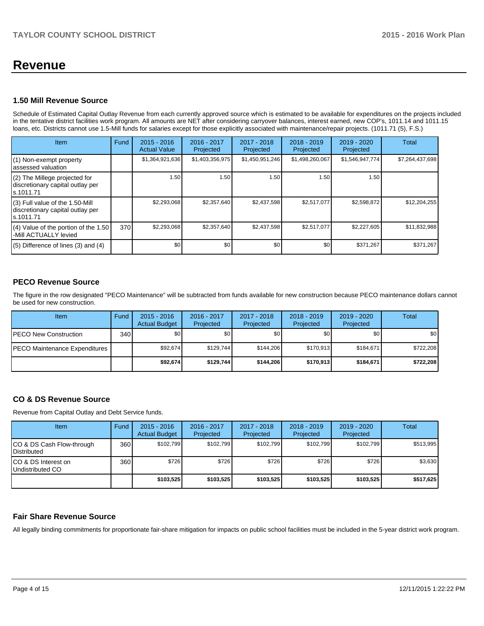# **Revenue**

## **1.50 Mill Revenue Source**

Schedule of Estimated Capital Outlay Revenue from each currently approved source which is estimated to be available for expenditures on the projects included in the tentative district facilities work program. All amounts are NET after considering carryover balances, interest earned, new COP's, 1011.14 and 1011.15 loans, etc. Districts cannot use 1.5-Mill funds for salaries except for those explicitly associated with maintenance/repair projects. (1011.71 (5), F.S.)

| Item                                                                             | Fund | $2015 - 2016$<br><b>Actual Value</b> | $2016 - 2017$<br>Projected | 2017 - 2018<br>Projected | $2018 - 2019$<br>Projected | 2019 - 2020<br>Projected | Total           |
|----------------------------------------------------------------------------------|------|--------------------------------------|----------------------------|--------------------------|----------------------------|--------------------------|-----------------|
| (1) Non-exempt property<br>assessed valuation                                    |      | \$1,364,921,636                      | \$1,403,356,975            | \$1,450,951,246          | \$1,498,260,067            | \$1,546,947,774          | \$7,264,437,698 |
| (2) The Millege projected for<br>discretionary capital outlay per<br>ls.1011.71  |      | 1.50                                 | 1.50 l                     | 1.50                     | 1.50                       | 1.50                     |                 |
| (3) Full value of the 1.50-Mill<br>discretionary capital outlay per<br>s.1011.71 |      | \$2,293,068                          | \$2,357,640                | \$2,437,598              | \$2,517,077                | \$2,598,872              | \$12,204,255    |
| (4) Value of the portion of the 1.50<br>-Mill ACTUALLY levied                    | 370  | \$2,293,068                          | \$2,357,640                | \$2,437,598              | \$2,517,077                | \$2,227,605              | \$11,832,988    |
| $(5)$ Difference of lines $(3)$ and $(4)$                                        |      | \$0                                  | \$0 <sub>1</sub>           | \$0                      | \$0                        | \$371,267                | \$371,267       |

# **PECO Revenue Source**

The figure in the row designated "PECO Maintenance" will be subtracted from funds available for new construction because PECO maintenance dollars cannot be used for new construction.

| Item                                  | Fund | $2015 - 2016$<br><b>Actual Budget</b> | 2016 - 2017<br>Projected | 2017 - 2018<br>Projected | $2018 - 2019$<br>Projected | $2019 - 2020$<br>Projected | Total     |
|---------------------------------------|------|---------------------------------------|--------------------------|--------------------------|----------------------------|----------------------------|-----------|
| <b>IPECO New Construction</b>         | 340  | \$0 <sub>1</sub>                      | \$0                      | \$0                      | \$0 <sub>0</sub>           | \$0                        | \$0       |
| <b>IPECO Maintenance Expenditures</b> |      | \$92.674                              | \$129.744                | \$144.206                | \$170.913                  | \$184.671                  | \$722,208 |
|                                       |      | \$92,674                              | \$129.744                | \$144.206                | \$170.913                  | \$184,671                  | \$722,208 |

# **CO & DS Revenue Source**

Revenue from Capital Outlay and Debt Service funds.

| Item                                             | Fund | $2015 - 2016$<br><b>Actual Budget</b> | 2016 - 2017<br>Projected | 2017 - 2018<br>Projected | $2018 - 2019$<br>Projected | $2019 - 2020$<br>Projected | Total     |
|--------------------------------------------------|------|---------------------------------------|--------------------------|--------------------------|----------------------------|----------------------------|-----------|
| ICO & DS Cash Flow-through<br><b>Distributed</b> | 360  | \$102.799                             | \$102.799                | \$102.799                | \$102.799                  | \$102.799                  | \$513,995 |
| ICO & DS Interest on<br>Undistributed CO         | 360  | \$726                                 | \$726                    | \$726                    | \$726                      | \$726                      | \$3,630   |
|                                                  |      | \$103,525                             | \$103,525                | \$103.525                | \$103.525                  | \$103,525                  | \$517,625 |

# **Fair Share Revenue Source**

All legally binding commitments for proportionate fair-share mitigation for impacts on public school facilities must be included in the 5-year district work program.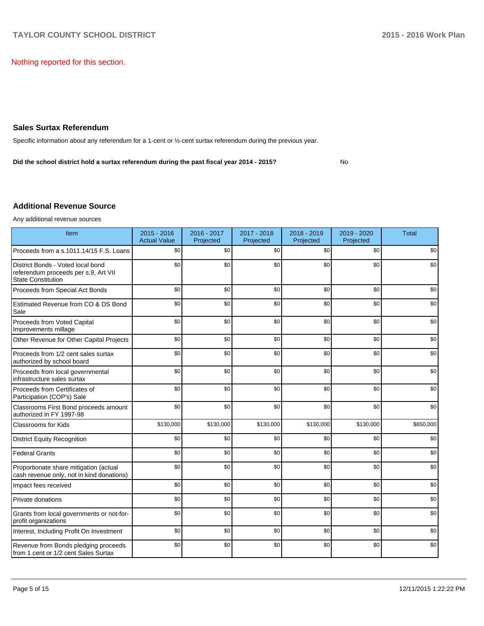Nothing reported for this section.

## **Sales Surtax Referendum**

Specific information about any referendum for a 1-cent or ½-cent surtax referendum during the previous year.

**Did the school district hold a surtax referendum during the past fiscal year 2014 - 2015?**

No

## **Additional Revenue Source**

Any additional revenue sources

| Item                                                                                                   | $2015 - 2016$<br><b>Actual Value</b> | 2016 - 2017<br>Projected | 2017 - 2018<br>Projected | 2018 - 2019<br>Projected | 2019 - 2020<br>Projected | <b>Total</b> |
|--------------------------------------------------------------------------------------------------------|--------------------------------------|--------------------------|--------------------------|--------------------------|--------------------------|--------------|
| Proceeds from a s.1011.14/15 F.S. Loans                                                                | \$0                                  | \$0                      | \$0                      | \$0                      | \$0                      | \$0          |
| District Bonds - Voted local bond<br>referendum proceeds per s.9, Art VII<br><b>State Constitution</b> | \$0                                  | \$0                      | \$0                      | \$0                      | \$0                      | \$0          |
| Proceeds from Special Act Bonds                                                                        | \$0                                  | \$0                      | \$0                      | \$0                      | \$0                      | \$0          |
| Estimated Revenue from CO & DS Bond<br>Sale                                                            | \$0                                  | \$0                      | \$0                      | \$0                      | \$0                      | \$0          |
| Proceeds from Voted Capital<br>Improvements millage                                                    | \$0                                  | \$0                      | \$0                      | \$0                      | \$0                      | \$0          |
| Other Revenue for Other Capital Projects                                                               | \$0                                  | \$0                      | \$0                      | \$0                      | \$0                      | \$0          |
| Proceeds from 1/2 cent sales surtax<br>authorized by school board                                      | \$0                                  | \$0                      | \$0                      | \$0                      | \$0                      | \$0          |
| Proceeds from local governmental<br>infrastructure sales surtax                                        | \$0                                  | \$0                      | \$0                      | \$0                      | \$0                      | \$0          |
| Proceeds from Certificates of<br>Participation (COP's) Sale                                            | \$0                                  | \$0                      | \$0                      | \$0                      | \$0                      | \$0          |
| Classrooms First Bond proceeds amount<br>authorized in FY 1997-98                                      | \$0                                  | \$0                      | \$0                      | \$0                      | \$0                      | \$0          |
| Classrooms for Kids                                                                                    | \$130,000                            | \$130,000                | \$130,000                | \$130,000                | \$130,000                | \$650,000    |
| <b>District Equity Recognition</b>                                                                     | \$0                                  | \$0                      | \$0                      | \$0                      | \$0                      | \$0          |
| <b>Federal Grants</b>                                                                                  | \$0                                  | \$0                      | \$0                      | \$0                      | \$0                      | \$0          |
| Proportionate share mitigation (actual<br>cash revenue only, not in kind donations)                    | \$0                                  | \$0                      | \$0                      | \$0                      | \$0                      | \$0          |
| Impact fees received                                                                                   | \$0                                  | \$0                      | \$0                      | \$0                      | \$0                      | \$0          |
| Private donations                                                                                      | \$0                                  | \$0                      | \$0                      | \$0                      | \$0                      | \$0          |
| Grants from local governments or not-for-<br>profit organizations                                      | \$0                                  | \$0                      | \$0                      | \$0                      | \$0                      | \$0          |
| Interest, Including Profit On Investment                                                               | \$0                                  | \$0                      | \$0                      | \$0                      | \$0                      | \$0          |
| Revenue from Bonds pledging proceeds<br>from 1 cent or 1/2 cent Sales Surtax                           | \$0                                  | \$0                      | \$0                      | \$0                      | \$0                      | \$0          |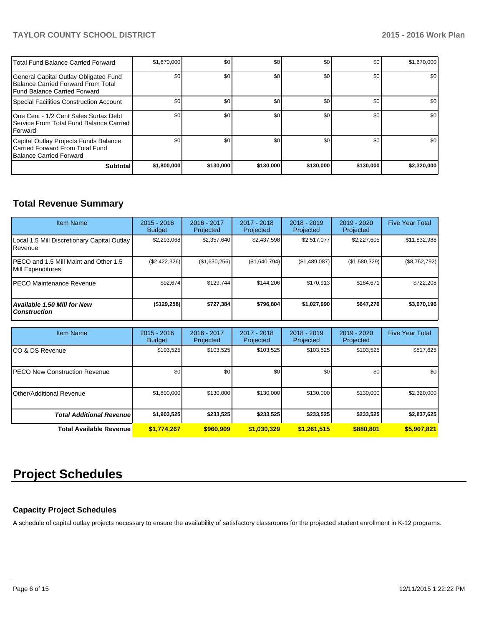# **TAYLOR COUNTY SCHOOL DISTRICT 2015 - 2016 Work Plan**

| <b>ITotal Fund Balance Carried Forward</b>                                                                          | \$1,670,000 | \$0       | \$0       | \$0       | \$0       | \$1,670,000 |
|---------------------------------------------------------------------------------------------------------------------|-------------|-----------|-----------|-----------|-----------|-------------|
| General Capital Outlay Obligated Fund<br>Balance Carried Forward From Total<br><b>IFund Balance Carried Forward</b> | \$0         | \$0       | \$0       | \$0       | \$0       | \$0         |
| Special Facilities Construction Account                                                                             | \$0         | \$0       | \$0       | \$0       | \$0       | \$0         |
| One Cent - 1/2 Cent Sales Surtax Debt<br><b>I Service From Total Fund Balance Carried</b><br><b>IForward</b>        | \$0         | \$0       | \$0       | \$0       | \$0       | \$0         |
| Capital Outlay Projects Funds Balance<br>Carried Forward From Total Fund<br><b>Balance Carried Forward</b>          | \$0         | \$0       | \$0       | \$0       | \$0       | \$0         |
| <b>Subtotal</b>                                                                                                     | \$1,800,000 | \$130,000 | \$130,000 | \$130,000 | \$130,000 | \$2,320,000 |

# **Total Revenue Summary**

| <b>Item Name</b>                                            | $2015 - 2016$<br><b>Budget</b> | 2016 - 2017<br>Projected | 2017 - 2018<br>Projected | $2018 - 2019$<br>Projected | $2019 - 2020$<br>Projected | <b>Five Year Total</b> |
|-------------------------------------------------------------|--------------------------------|--------------------------|--------------------------|----------------------------|----------------------------|------------------------|
| Local 1.5 Mill Discretionary Capital Outlay<br>Revenue      | \$2,293,068                    | \$2,357,640              | \$2.437.598              | \$2,517,077                | \$2,227,605                | \$11,832,988           |
| IPECO and 1.5 Mill Maint and Other 1.5<br>Mill Expenditures | (\$2,422,326)                  | (\$1,630,256)            | (S1, 640, 794)           | (\$1,489,087)              | (\$1,580,329)              | (\$8,762,792)          |
| <b>IPECO Maintenance Revenue</b>                            | \$92,674                       | \$129.744                | \$144.206                | \$170.913                  | \$184.671                  | \$722,208              |
| Available 1.50 Mill for New<br><b>Construction</b>          | (\$129, 258)                   | \$727,384                | \$796.804                | \$1,027,990                | \$647,276                  | \$3,070,196            |

| <b>Item Name</b>                 | $2015 - 2016$<br><b>Budget</b> | 2016 - 2017<br>Projected | 2017 - 2018<br>Projected | $2018 - 2019$<br>Projected | 2019 - 2020<br>Projected | <b>Five Year Total</b> |
|----------------------------------|--------------------------------|--------------------------|--------------------------|----------------------------|--------------------------|------------------------|
| ICO & DS Revenue                 | \$103,525                      | \$103,525                | \$103,525                | \$103,525                  | \$103,525                | \$517,625              |
| IPECO New Construction Revenue   | \$0                            | \$0                      | \$0                      | \$0                        | \$0 <sub>1</sub>         | \$0                    |
| Other/Additional Revenue         | \$1,800,000                    | \$130,000                | \$130,000                | \$130,000                  | \$130,000                | \$2,320,000            |
| <b>Total Additional Revenuel</b> | \$1,903,525                    | \$233,525                | \$233,525                | \$233,525                  | \$233,525                | \$2,837,625            |
| <b>Total Available Revenue</b>   | \$1,774,267                    | \$960,909                | \$1,030,329              | \$1,261,515                | \$880,801                | \$5,907,821            |

# **Project Schedules**

# **Capacity Project Schedules**

A schedule of capital outlay projects necessary to ensure the availability of satisfactory classrooms for the projected student enrollment in K-12 programs.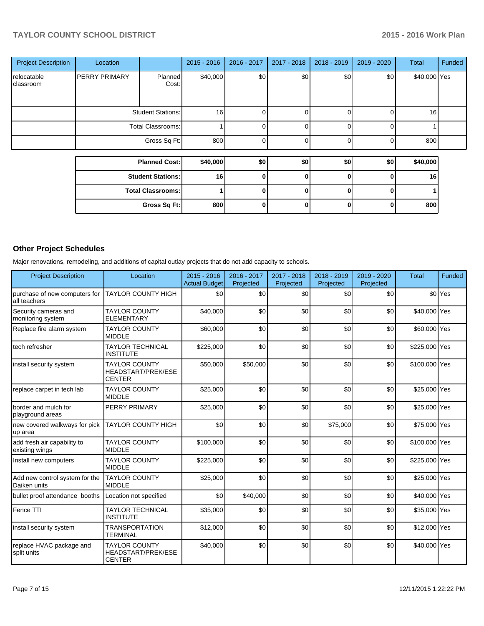# **TAYLOR COUNTY SCHOOL DISTRICT 2015 - 2016 Work Plan**

| <b>Project Description</b> | Location          |                          | $2015 - 2016$ | 2016 - 2017 | 2017 - 2018 | 2018 - 2019 | 2019 - 2020 | <b>Total</b> | Funded |
|----------------------------|-------------------|--------------------------|---------------|-------------|-------------|-------------|-------------|--------------|--------|
| relocatable<br>classroom   | PERRY PRIMARY     | <b>Planned</b><br>Cost:  | \$40,000      | \$0         | \$0         | \$0         | \$0         | \$40,000 Yes |        |
|                            |                   | <b>Student Stations:</b> | 16            |             |             |             |             | 16           |        |
|                            | Total Classrooms: |                          |               | Ω           |             | $\Omega$    |             |              |        |
|                            |                   | Gross Sq Ft:             | 800           |             |             |             |             | 800          |        |
|                            |                   |                          |               |             |             |             |             |              |        |
|                            |                   | <b>Planned Cost:</b>     | \$40,000      | \$0         | \$0         | \$0         | \$0         | \$40,000     |        |
|                            |                   | <b>Student Stations:</b> | 16            | 0           | 0           | 0           | $\Omega$    | 16           |        |
|                            |                   | <b>Total Classrooms:</b> |               | Λ           | 0           |             | O           |              |        |
|                            |                   | Gross Sq Ft:             | 800           | 0           | 0           |             | 0           | 800          |        |

# **Other Project Schedules**

Major renovations, remodeling, and additions of capital outlay projects that do not add capacity to schools.

| <b>Project Description</b>                     | Location                                                           | $2015 - 2016$<br><b>Actual Budget</b> | 2016 - 2017<br>Projected | 2017 - 2018<br>Projected | 2018 - 2019<br>Projected | 2019 - 2020<br>Projected | <b>Total</b>  | <b>Funded</b>      |
|------------------------------------------------|--------------------------------------------------------------------|---------------------------------------|--------------------------|--------------------------|--------------------------|--------------------------|---------------|--------------------|
| purchase of new computers for<br>all teachers  | <b>TAYLOR COUNTY HIGH</b>                                          | \$0                                   | \$0                      | \$0                      | \$0                      | \$0                      |               | \$0 <sup>Yes</sup> |
| Security cameras and<br>monitoring system      | <b>TAYLOR COUNTY</b><br><b>ELEMENTARY</b>                          | \$40,000                              | \$0                      | \$0                      | \$0                      | \$0                      | \$40,000 Yes  |                    |
| Replace fire alarm system                      | <b>TAYLOR COUNTY</b><br><b>MIDDLE</b>                              | \$60,000                              | \$0                      | \$0                      | \$0                      | \$0                      | \$60,000 Yes  |                    |
| tech refresher                                 | <b>TAYLOR TECHNICAL</b><br><b>INSTITUTE</b>                        | \$225,000                             | \$0                      | \$0                      | \$0                      | \$0                      | \$225,000 Yes |                    |
| install security system                        | <b>TAYLOR COUNTY</b><br><b>HEADSTART/PREK/ESE</b><br><b>CENTER</b> | \$50,000                              | \$50,000                 | \$0                      | \$0                      | \$0                      | \$100,000 Yes |                    |
| replace carpet in tech lab                     | <b>TAYLOR COUNTY</b><br><b>MIDDLE</b>                              | \$25,000                              | \$0                      | \$0                      | \$0                      | \$0                      | \$25,000 Yes  |                    |
| border and mulch for<br>playground areas       | PERRY PRIMARY                                                      | \$25,000                              | \$0                      | \$0                      | \$0                      | \$0                      | \$25,000 Yes  |                    |
| new covered walkways for pick<br>up area       | <b>TAYLOR COUNTY HIGH</b>                                          | \$0                                   | \$0                      | \$0                      | \$75,000                 | \$0                      | \$75,000 Yes  |                    |
| add fresh air capability to<br>existing wings  | <b>TAYLOR COUNTY</b><br><b>MIDDLE</b>                              | \$100,000                             | \$0                      | \$0                      | \$0                      | \$0                      | \$100,000 Yes |                    |
| Install new computers                          | <b>TAYLOR COUNTY</b><br><b>MIDDLE</b>                              | \$225,000                             | \$0                      | \$0                      | \$0                      | \$0                      | \$225,000 Yes |                    |
| Add new control system for the<br>Daiken units | <b>TAYLOR COUNTY</b><br><b>MIDDLE</b>                              | \$25,000                              | \$0                      | \$0                      | \$0                      | \$0                      | \$25,000 Yes  |                    |
| bullet proof attendance booths                 | Location not specified                                             | \$0                                   | \$40,000                 | \$0                      | \$0                      | \$0                      | \$40,000 Yes  |                    |
| <b>Fence TTI</b>                               | <b>TAYLOR TECHNICAL</b><br><b>INSTITUTE</b>                        | \$35,000                              | \$0                      | \$0                      | \$0                      | \$0                      | \$35,000 Yes  |                    |
| install security system                        | <b>TRANSPORTATION</b><br><b>TERMINAL</b>                           | \$12,000                              | \$0                      | \$0                      | \$0                      | \$0                      | \$12,000 Yes  |                    |
| replace HVAC package and<br>split units        | <b>TAYLOR COUNTY</b><br><b>HEADSTART/PREK/ESE</b><br><b>CENTER</b> | \$40,000                              | \$0                      | \$0                      | \$0                      | \$0                      | \$40,000 Yes  |                    |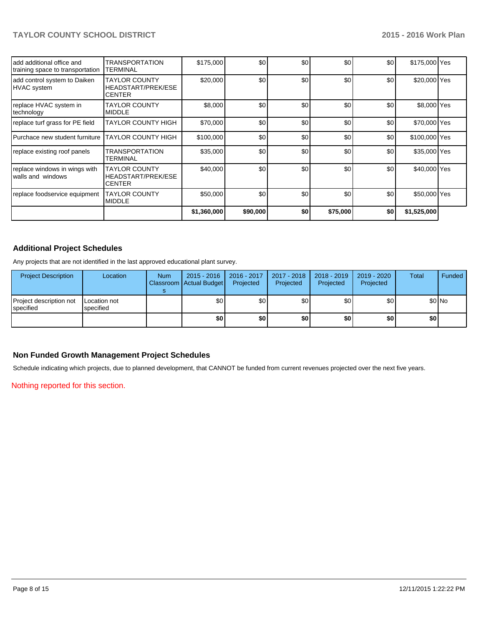|                                                               |                                                             | \$1,360,000 | \$90,000 | \$0 | \$75,000 | \$0 | \$1,525,000   |  |
|---------------------------------------------------------------|-------------------------------------------------------------|-------------|----------|-----|----------|-----|---------------|--|
| replace foodservice equipment                                 | <b>TAYLOR COUNTY</b><br><b>MIDDLE</b>                       | \$50,000    | \$0      | \$0 | \$0      | \$0 | \$50,000 Yes  |  |
| replace windows in wings with<br>walls and windows            | <b>TAYLOR COUNTY</b><br>HEADSTART/PREK/ESE<br><b>CENTER</b> | \$40,000    | \$0      | \$0 | \$0      | \$0 | \$40,000 Yes  |  |
| replace existing roof panels                                  | <b>TRANSPORTATION</b><br>TERMINAL                           | \$35,000    | \$0      | \$0 | \$0      | \$0 | \$35,000 Yes  |  |
| Purchace new student furniture                                | <b>TAYLOR COUNTY HIGH</b>                                   | \$100,000   | \$0      | \$0 | \$0      | \$0 | \$100,000 Yes |  |
| replace turf grass for PE field                               | <b>TAYLOR COUNTY HIGH</b>                                   | \$70,000    | \$0      | \$0 | \$0      | \$0 | \$70,000 Yes  |  |
| replace HVAC system in<br>technology                          | <b>TAYLOR COUNTY</b><br><b>MIDDLE</b>                       | \$8,000     | \$0      | \$0 | \$0      | \$0 | \$8,000 Yes   |  |
| add control system to Daiken<br><b>HVAC</b> system            | <b>TAYLOR COUNTY</b><br>HEADSTART/PREK/ESE<br><b>CENTER</b> | \$20,000    | \$0      | \$0 | \$0      | \$0 | \$20,000 Yes  |  |
| add additional office and<br>training space to transportation | <b>TRANSPORTATION</b><br><b>TERMINAL</b>                    | \$175,000   | \$0      | \$0 | \$0      | \$0 | \$175,000 Yes |  |

# **Additional Project Schedules**

Any projects that are not identified in the last approved educational plant survey.

| <b>Project Description</b>                    | Location                  | <b>Num</b> | $2015 - 2016$<br>Classroom   Actual Budget | 2016 - 2017<br>Projected | 2017 - 2018<br>Projected | 2018 - 2019<br>Projected | 2019 - 2020<br>Projected | Total | Funded |
|-----------------------------------------------|---------------------------|------------|--------------------------------------------|--------------------------|--------------------------|--------------------------|--------------------------|-------|--------|
| Project description not<br><b>I</b> specified | Location not<br>specified |            | \$0                                        | \$0                      | \$0                      | \$0                      | \$0                      |       | \$0 No |
|                                               |                           |            | \$0                                        | \$0                      | \$0                      | \$0                      | \$0                      | \$O   |        |

# **Non Funded Growth Management Project Schedules**

Schedule indicating which projects, due to planned development, that CANNOT be funded from current revenues projected over the next five years.

Nothing reported for this section.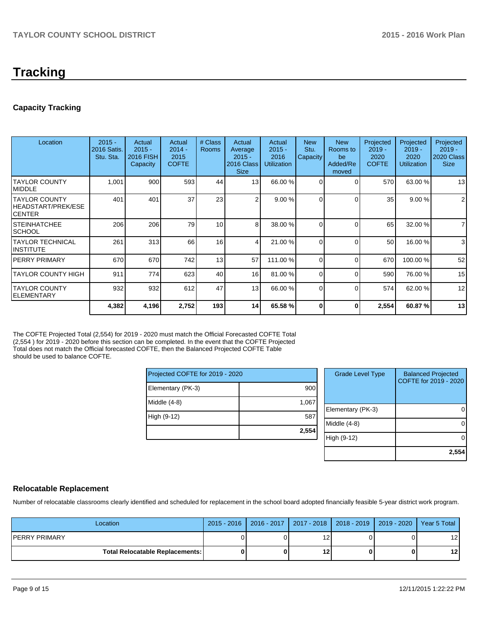# **Tracking**

# **Capacity Tracking**

| Location                                        | $2015 -$<br>2016 Satis.<br>Stu. Sta. | Actual<br>$2015 -$<br>2016 FISH<br>Capacity | Actual<br>$2014 -$<br>2015<br><b>COFTE</b> | # Class<br>Rooms | Actual<br>Average<br>$2015 -$<br>2016 Class<br><b>Size</b> | Actual<br>$2015 -$<br>2016<br><b>Utilization</b> | <b>New</b><br>Stu.<br>Capacity | <b>New</b><br>Rooms to<br>be<br>Added/Re<br>moved | Projected<br>$2019 -$<br>2020<br><b>COFTE</b> | Projected<br>$2019 -$<br>2020<br><b>Utilization</b> | Projected<br>$2019 -$<br><b>2020 Class</b><br><b>Size</b> |
|-------------------------------------------------|--------------------------------------|---------------------------------------------|--------------------------------------------|------------------|------------------------------------------------------------|--------------------------------------------------|--------------------------------|---------------------------------------------------|-----------------------------------------------|-----------------------------------------------------|-----------------------------------------------------------|
| ITAYLOR COUNTY<br>IMIDDLE                       | 1,001                                | 900                                         | 593                                        | 44               | 13 <sup>l</sup>                                            | 66.00 %                                          | $\Omega$                       | 0                                                 | 570                                           | 63.00 %                                             | 13                                                        |
| ITAYLOR COUNTY<br>HEADSTART/PREK/ESE<br>ICENTER | 401                                  | 401                                         | 37                                         | 23               | $\mathcal{P}$                                              | 9.00%                                            | $\Omega$                       | ſ                                                 | 35                                            | 9.00%                                               | $\overline{2}$                                            |
| ISTEINHATCHEE<br>ISCHOOL                        | 206                                  | 206                                         | 79                                         | 10               | 8                                                          | 38.00 %                                          | $\Omega$                       | $\Omega$                                          | 65                                            | 32.00 %                                             | $\overline{7}$                                            |
| ITAYLOR TECHNICAL<br>IINSTITUTE                 | 261                                  | 313                                         | 66                                         | 16               | 4                                                          | 21.00 %                                          | $\Omega$                       | $\Omega$                                          | 50                                            | 16.00 %                                             | 3                                                         |
| IPERRY PRIMARY                                  | 670                                  | 670                                         | 742                                        | 13               | 57                                                         | 111.00 %                                         | $\Omega$                       | ∩                                                 | 670                                           | 100.00%                                             | 52                                                        |
| ITAYLOR COUNTY HIGH                             | 911                                  | 774                                         | 623                                        | 40               | 16                                                         | 81.00 %                                          | $\Omega$                       | $\Omega$                                          | 590                                           | 76.00 %                                             | 15                                                        |
| ITAYLOR COUNTY<br>IELEMENTARY                   | 932                                  | 932                                         | 612                                        | 47               | 13                                                         | 66.00 %                                          | $\Omega$                       | $\Omega$                                          | 574                                           | 62.00%                                              | 12                                                        |
|                                                 | 4,382                                | 4,196                                       | 2,752                                      | 193              | 14                                                         | 65.58 %                                          | 0                              | 0                                                 | 2,554                                         | 60.87%                                              | 13                                                        |

The COFTE Projected Total (2,554) for 2019 - 2020 must match the Official Forecasted COFTE Total (2,554 ) for 2019 - 2020 before this section can be completed. In the event that the COFTE Projected Total does not match the Official forecasted COFTE, then the Balanced Projected COFTE Table should be used to balance COFTE.

| Projected COFTE for 2019 - 2020 |       |  |  |  |  |
|---------------------------------|-------|--|--|--|--|
| Elementary (PK-3)               | 900   |  |  |  |  |
| Middle $(4-8)$                  | 1,067 |  |  |  |  |
| High (9-12)                     | 587   |  |  |  |  |
|                                 | 2,554 |  |  |  |  |

| <b>Grade Level Type</b> | <b>Balanced Projected</b><br>COFTE for 2019 - 2020 |
|-------------------------|----------------------------------------------------|
| Elementary (PK-3)       |                                                    |
| Middle $(4-8)$          |                                                    |
| High (9-12)             |                                                    |
|                         | 2,55                                               |

# **Relocatable Replacement**

Number of relocatable classrooms clearly identified and scheduled for replacement in the school board adopted financially feasible 5-year district work program.

| Location                                 | 2015 - 2016   2016 - 2017   2017 - 2018   2018 - 2019   2019 - 2020   Year 5 Total |    |  |                 |
|------------------------------------------|------------------------------------------------------------------------------------|----|--|-----------------|
| IPERRY PRIMARY                           |                                                                                    | 12 |  | 12              |
| <b>Total Relocatable Replacements: I</b> |                                                                                    | 12 |  | 12 <sub>l</sub> |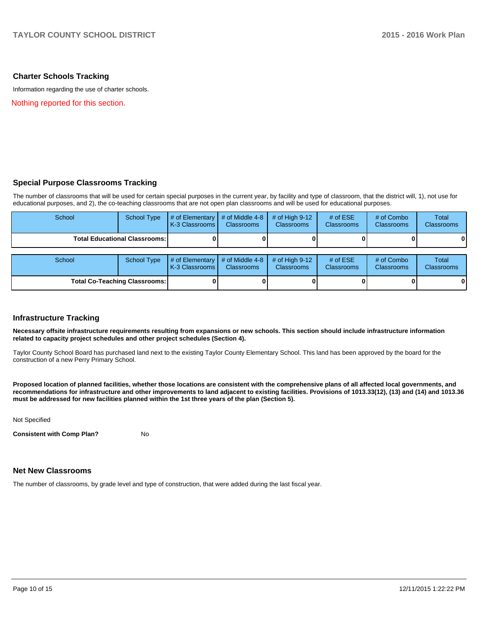### **Charter Schools Tracking**

Information regarding the use of charter schools.

Nothing reported for this section.

### **Special Purpose Classrooms Tracking**

The number of classrooms that will be used for certain special purposes in the current year, by facility and type of classroom, that the district will, 1), not use for educational purposes, and 2), the co-teaching classrooms that are not open plan classrooms and will be used for educational purposes.

| School                                 | School Type | $\parallel$ # of Elementary $\parallel$ # of Middle 4-8 $\parallel$ # of High 9-12 $\parallel$<br>K-3 Classrooms L | <b>Classrooms</b> | <b>Classrooms</b> | # of $ESE$<br><b>Classrooms</b> | # of Combo<br><b>Classrooms</b> | Total<br><b>Classrooms</b> |
|----------------------------------------|-------------|--------------------------------------------------------------------------------------------------------------------|-------------------|-------------------|---------------------------------|---------------------------------|----------------------------|
| <b>Total Educational Classrooms: I</b> |             |                                                                                                                    | oı                |                   |                                 | 0                               | $\bf{0}$                   |

| School                               | School Type | $\parallel$ # of Elementary $\parallel$ # of Middle 4-8 $\parallel$ # of High 9-12<br><b>IK-3 Classrooms I</b> | <b>Classrooms</b> | <b>Classrooms</b> | # of $ESE$<br><b>Classrooms</b> | # of Combo<br><b>Classrooms</b> | Total<br><b>Classrooms</b> |
|--------------------------------------|-------------|----------------------------------------------------------------------------------------------------------------|-------------------|-------------------|---------------------------------|---------------------------------|----------------------------|
| <b>Total Co-Teaching Classrooms:</b> |             |                                                                                                                | 0                 |                   |                                 | 0                               | 0                          |

### **Infrastructure Tracking**

**Necessary offsite infrastructure requirements resulting from expansions or new schools. This section should include infrastructure information related to capacity project schedules and other project schedules (Section 4).**

Taylor County School Board has purchased land next to the existing Taylor County Elementary School. This land has been approved by the board for the construction of a new Perry Primary School.

**Proposed location of planned facilities, whether those locations are consistent with the comprehensive plans of all affected local governments, and recommendations for infrastructure and other improvements to land adjacent to existing facilities. Provisions of 1013.33(12), (13) and (14) and 1013.36 must be addressed for new facilities planned within the 1st three years of the plan (Section 5).**

Not Specified

**Consistent with Comp Plan?** No

#### **Net New Classrooms**

The number of classrooms, by grade level and type of construction, that were added during the last fiscal year.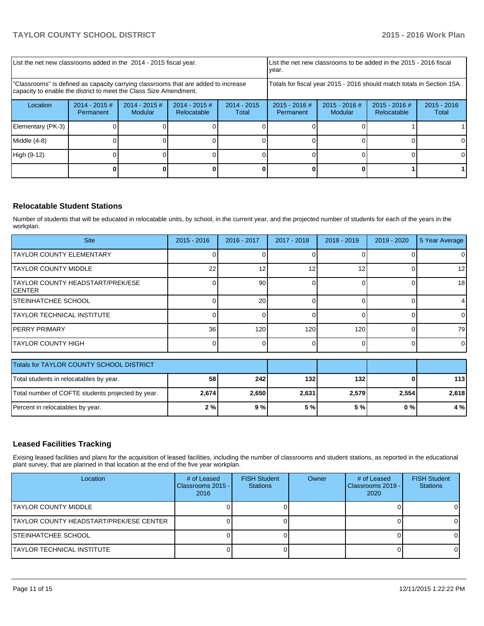| List the net new classrooms added in the 2014 - 2015 fiscal year.                                                                                       |                                                                        |                                   | List the net new classrooms to be added in the 2015 - 2016 fiscal<br>Ivear. |                      |                              |                            |                                |                        |
|---------------------------------------------------------------------------------------------------------------------------------------------------------|------------------------------------------------------------------------|-----------------------------------|-----------------------------------------------------------------------------|----------------------|------------------------------|----------------------------|--------------------------------|------------------------|
| "Classrooms" is defined as capacity carrying classrooms that are added to increase<br>capacity to enable the district to meet the Class Size Amendment. | Totals for fiscal year 2015 - 2016 should match totals in Section 15A. |                                   |                                                                             |                      |                              |                            |                                |                        |
| Location                                                                                                                                                | $2014 - 2015$ #<br>Permanent                                           | $2014 - 2015$ #<br><b>Modular</b> | $2014 - 2015$ #<br><b>Relocatable</b>                                       | 2014 - 2015<br>Total | $2015 - 2016$ #<br>Permanent | $2015 - 2016$ #<br>Modular | $2015 - 2016$ #<br>Relocatable | $2015 - 2016$<br>Total |
| Elementary (PK-3)                                                                                                                                       |                                                                        |                                   |                                                                             |                      |                              |                            |                                |                        |
| Middle $(4-8)$                                                                                                                                          |                                                                        |                                   |                                                                             |                      |                              |                            |                                | ΟI                     |
| High (9-12)                                                                                                                                             |                                                                        |                                   |                                                                             |                      |                              |                            |                                | O.                     |
|                                                                                                                                                         |                                                                        |                                   |                                                                             |                      |                              |                            |                                |                        |

# **Relocatable Student Stations**

Number of students that will be educated in relocatable units, by school, in the current year, and the projected number of students for each of the years in the workplan.

| <b>Site</b>                                 | $2015 - 2016$ | 2016 - 2017     | 2017 - 2018 | $2018 - 2019$ | $2019 - 2020$ | 5 Year Average  |
|---------------------------------------------|---------------|-----------------|-------------|---------------|---------------|-----------------|
| <b>TAYLOR COUNTY ELEMENTARY</b>             |               |                 |             |               |               |                 |
| <b>ITAYLOR COUNTY MIDDLE</b>                | 22            |                 | 12          | 12            |               | 12 <sub>l</sub> |
| TAYLOR COUNTY HEADSTART/PREK/ESE<br>ICENTER |               | 90 <sub>1</sub> |             |               |               | 18              |
| ISTEINHATCHEE SCHOOL                        |               | 20              |             |               |               | 4               |
| ITAYLOR TECHNICAL INSTITUTE                 |               |                 |             |               |               | $\Omega$        |
| IPERRY PRIMARY                              | 36            | 120             | 120         | 120           |               | 79              |
| ITAYLOR COUNTY HIGH                         |               |                 |             |               |               | $\overline{0}$  |

| Totals for TAYLOR COUNTY SCHOOL DISTRICT          |       |       |       |       |       |       |
|---------------------------------------------------|-------|-------|-------|-------|-------|-------|
| Total students in relocatables by year.           | 58    | 242   | 132   | 132   |       | 113   |
| Total number of COFTE students projected by year. | 2,674 | 2.650 | 2,631 | 2,579 | 2.554 | 2.618 |
| Percent in relocatables by year.                  | 2%    | 9%    | 5 % l | 5 % I | 0 % I | 4%    |

## **Leased Facilities Tracking**

Exising leased facilities and plans for the acquisition of leased facilities, including the number of classrooms and student stations, as reported in the educational plant survey, that are planned in that location at the end of the five year workplan.

| Location                                | # of Leased<br>Classrooms 2015 - I<br>2016 | <b>FISH Student</b><br><b>Stations</b> | Owner | # of Leased<br>l Classrooms 2019 - l<br>2020 | <b>FISH Student</b><br><b>Stations</b> |
|-----------------------------------------|--------------------------------------------|----------------------------------------|-------|----------------------------------------------|----------------------------------------|
| ITAYLOR COUNTY MIDDLE                   |                                            |                                        |       |                                              |                                        |
| TAYLOR COUNTY HEADSTART/PREK/ESE CENTER |                                            |                                        |       |                                              |                                        |
| ISTEINHATCHEE SCHOOL                    |                                            |                                        |       |                                              |                                        |
| ITAYLOR TECHNICAL INSTITUTE             |                                            |                                        |       |                                              |                                        |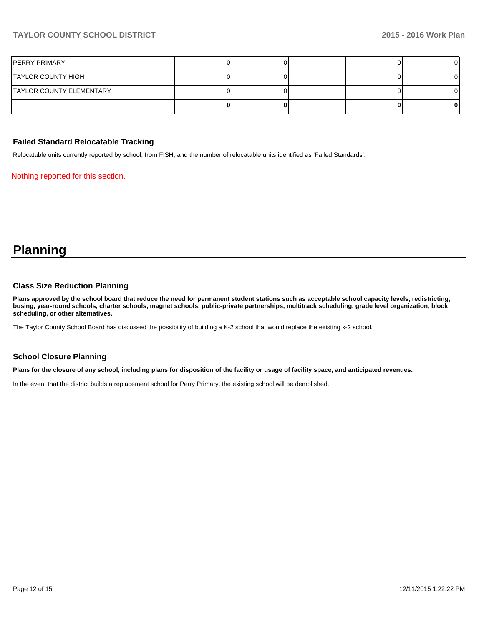# **TAYLOR COUNTY SCHOOL DISTRICT 2015 - 2016 Work Plan**

| PERRY PRIMARY            |  |  |  |
|--------------------------|--|--|--|
| TAYLOR COUNTY HIGH       |  |  |  |
| TAYLOR COUNTY ELEMENTARY |  |  |  |
|                          |  |  |  |

#### **Failed Standard Relocatable Tracking**

Relocatable units currently reported by school, from FISH, and the number of relocatable units identified as 'Failed Standards'.

Nothing reported for this section.

# **Planning**

### **Class Size Reduction Planning**

**Plans approved by the school board that reduce the need for permanent student stations such as acceptable school capacity levels, redistricting, busing, year-round schools, charter schools, magnet schools, public-private partnerships, multitrack scheduling, grade level organization, block scheduling, or other alternatives.**

The Taylor County School Board has discussed the possibility of building a K-2 school that would replace the existing k-2 school.

### **School Closure Planning**

**Plans for the closure of any school, including plans for disposition of the facility or usage of facility space, and anticipated revenues.**

In the event that the district builds a replacement school for Perry Primary, the existing school will be demolished.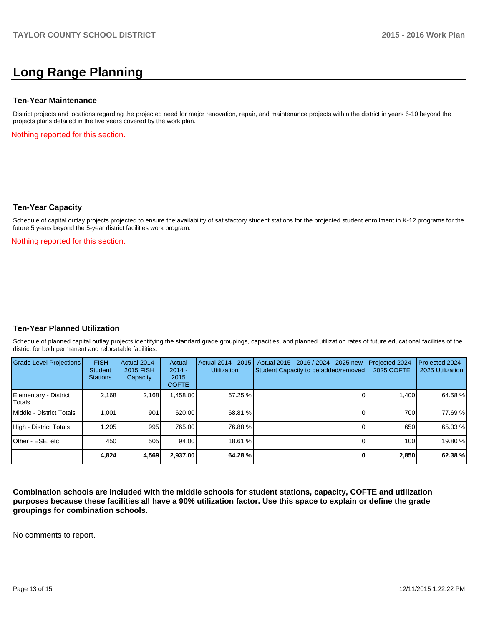# **Long Range Planning**

#### **Ten-Year Maintenance**

District projects and locations regarding the projected need for major renovation, repair, and maintenance projects within the district in years 6-10 beyond the projects plans detailed in the five years covered by the work plan.

Nothing reported for this section.

#### **Ten-Year Capacity**

Schedule of capital outlay projects projected to ensure the availability of satisfactory student stations for the projected student enrollment in K-12 programs for the future 5 years beyond the 5-year district facilities work program.

Nothing reported for this section.

### **Ten-Year Planned Utilization**

Schedule of planned capital outlay projects identifying the standard grade groupings, capacities, and planned utilization rates of future educational facilities of the district for both permanent and relocatable facilities.

| <b>Grade Level Projections</b>  | <b>FISH</b><br>Student<br><b>Stations</b> | Actual 2014 -<br>2015 FISH<br>Capacity | Actual<br>$2014 -$<br>2015<br><b>COFTE</b> | Actual 2014 - 2015<br><b>Utilization</b> | Actual 2015 - 2016 / 2024 - 2025 new<br>Student Capacity to be added/removed | Projected 2024<br>2025 COFTE | $-$ Projected 2024 -<br>2025 Utilization |
|---------------------------------|-------------------------------------------|----------------------------------------|--------------------------------------------|------------------------------------------|------------------------------------------------------------------------------|------------------------------|------------------------------------------|
| Elementary - District<br>Totals | 2.168                                     | 2,168                                  | ,458.00                                    | 67.25 %                                  |                                                                              | 1.400                        | 64.58 %                                  |
| Middle - District Totals        | 1.001                                     | 901                                    | 620.00                                     | 68.81 %                                  |                                                                              | 700                          | 77.69 %                                  |
| High - District Totals          | 1.205                                     | 995                                    | 765.00                                     | 76.88 %                                  |                                                                              | 650                          | 65.33 %                                  |
| Other - ESE, etc                | 450                                       | 505                                    | 94.00                                      | 18.61 %                                  |                                                                              | 100                          | 19.80 %                                  |
|                                 | 4,824                                     | 4,569                                  | 2,937.00                                   | 64.28 %                                  |                                                                              | 2,850                        | 62.38 %                                  |

**Combination schools are included with the middle schools for student stations, capacity, COFTE and utilization purposes because these facilities all have a 90% utilization factor. Use this space to explain or define the grade groupings for combination schools.**

No comments to report.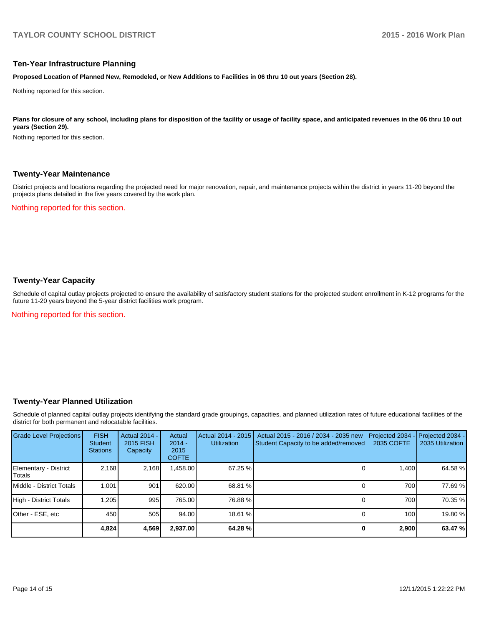#### **Ten-Year Infrastructure Planning**

**Proposed Location of Planned New, Remodeled, or New Additions to Facilities in 06 thru 10 out years (Section 28).**

Nothing reported for this section.

Plans for closure of any school, including plans for disposition of the facility or usage of facility space, and anticipated revenues in the 06 thru 10 out **years (Section 29).**

Nothing reported for this section.

#### **Twenty-Year Maintenance**

District projects and locations regarding the projected need for major renovation, repair, and maintenance projects within the district in years 11-20 beyond the projects plans detailed in the five years covered by the work plan.

Nothing reported for this section.

## **Twenty-Year Capacity**

Schedule of capital outlay projects projected to ensure the availability of satisfactory student stations for the projected student enrollment in K-12 programs for the future 11-20 years beyond the 5-year district facilities work program.

Nothing reported for this section.

### **Twenty-Year Planned Utilization**

Schedule of planned capital outlay projects identifying the standard grade groupings, capacities, and planned utilization rates of future educational facilities of the district for both permanent and relocatable facilities.

| Grade Level Projections         | <b>FISH</b><br><b>Student</b><br><b>Stations</b> | <b>Actual 2014 -</b><br>2015 FISH<br>Capacity | Actual<br>$2014 -$<br>2015<br><b>COFTE</b> | Actual 2014 - 2015<br><b>Utilization</b> | Actual 2015 - 2016 / 2034 - 2035 new<br>Student Capacity to be added/removed | Projected 2034<br>2035 COFTE | Projected 2034 -<br>2035 Utilization |
|---------------------------------|--------------------------------------------------|-----------------------------------------------|--------------------------------------------|------------------------------------------|------------------------------------------------------------------------------|------------------------------|--------------------------------------|
| Elementary - District<br>Totals | 2.168                                            | 2,168                                         | .458.00                                    | 67.25%                                   |                                                                              | 1.400                        | 64.58 %                              |
| Middle - District Totals        | 1.001                                            | 901                                           | 620.00                                     | 68.81 %                                  |                                                                              | 700                          | 77.69 %                              |
| High - District Totals          | .205                                             | 995                                           | 765.00                                     | 76.88 %                                  |                                                                              | 700                          | 70.35 %                              |
| Other - ESE, etc                | 450                                              | 505                                           | 94.00                                      | 18.61 %                                  |                                                                              | 100                          | 19.80 %                              |
|                                 | 4,824                                            | 4,569                                         | 2,937.00                                   | 64.28 %                                  |                                                                              | 2,900                        | 63.47 %                              |